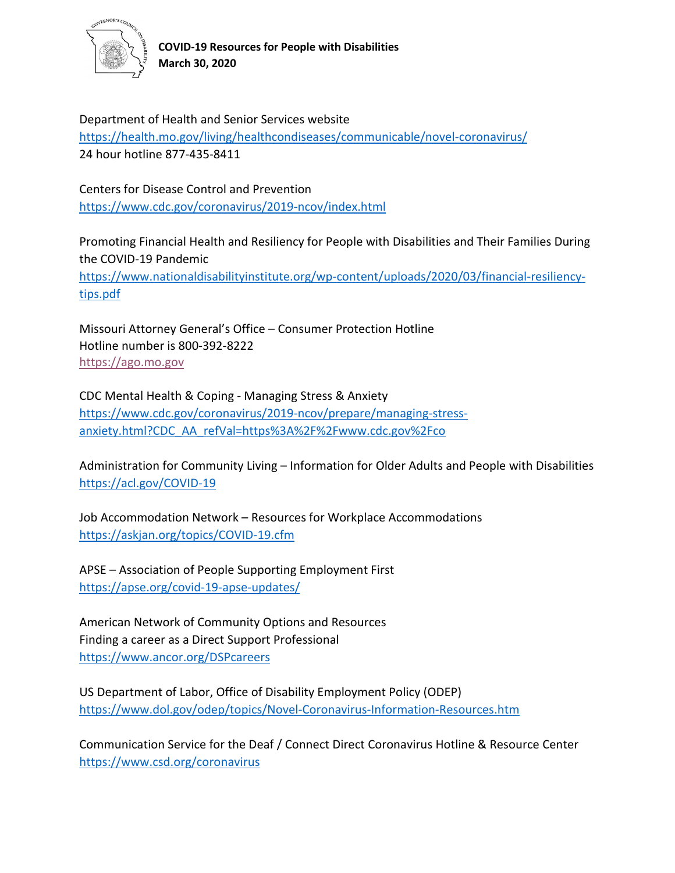

Department of Health and Senior Services website <https://health.mo.gov/living/healthcondiseases/communicable/novel-coronavirus/> 24 hour hotline 877-435-8411

Centers for Disease Control and Prevention <https://www.cdc.gov/coronavirus/2019-ncov/index.html>

Promoting Financial Health and Resiliency for People with Disabilities and Their Families During the COVID-19 Pandemic [https://www.nationaldisabilityinstitute.org/wp-content/uploads/2020/03/financial-resiliency](https://www.nationaldisabilityinstitute.org/wp-content/uploads/2020/03/financial-resiliency-tips.pdf)[tips.pdf](https://www.nationaldisabilityinstitute.org/wp-content/uploads/2020/03/financial-resiliency-tips.pdf)

Missouri Attorney General's Office – Consumer Protection Hotline Hotline number is 800-392-8222 [https://ago.mo.gov](https://ago.mo.gov/)

CDC Mental Health & Coping - Managing Stress & Anxiety [https://www.cdc.gov/coronavirus/2019-ncov/prepare/managing-stress](https://www.cdc.gov/coronavirus/2019-ncov/prepare/managing-stress-anxiety.html?CDC_AA_refVal=https%3A%2F%2Fwww.cdc.gov%2Fco)[anxiety.html?CDC\\_AA\\_refVal=https%3A%2F%2Fwww.cdc.gov%2Fco](https://www.cdc.gov/coronavirus/2019-ncov/prepare/managing-stress-anxiety.html?CDC_AA_refVal=https%3A%2F%2Fwww.cdc.gov%2Fco)

Administration for Community Living – Information for Older Adults and People with Disabilities <https://acl.gov/COVID-19>

Job Accommodation Network – Resources for Workplace Accommodations <https://askjan.org/topics/COVID-19.cfm>

APSE – Association of People Supporting Employment First <https://apse.org/covid-19-apse-updates/>

American Network of Community Options and Resources Finding a career as a Direct Support Professional <https://www.ancor.org/DSPcareers>

US Department of Labor, Office of Disability Employment Policy (ODEP) <https://www.dol.gov/odep/topics/Novel-Coronavirus-Information-Resources.htm>

Communication Service for the Deaf / Connect Direct Coronavirus Hotline & Resource Center <https://www.csd.org/coronavirus>